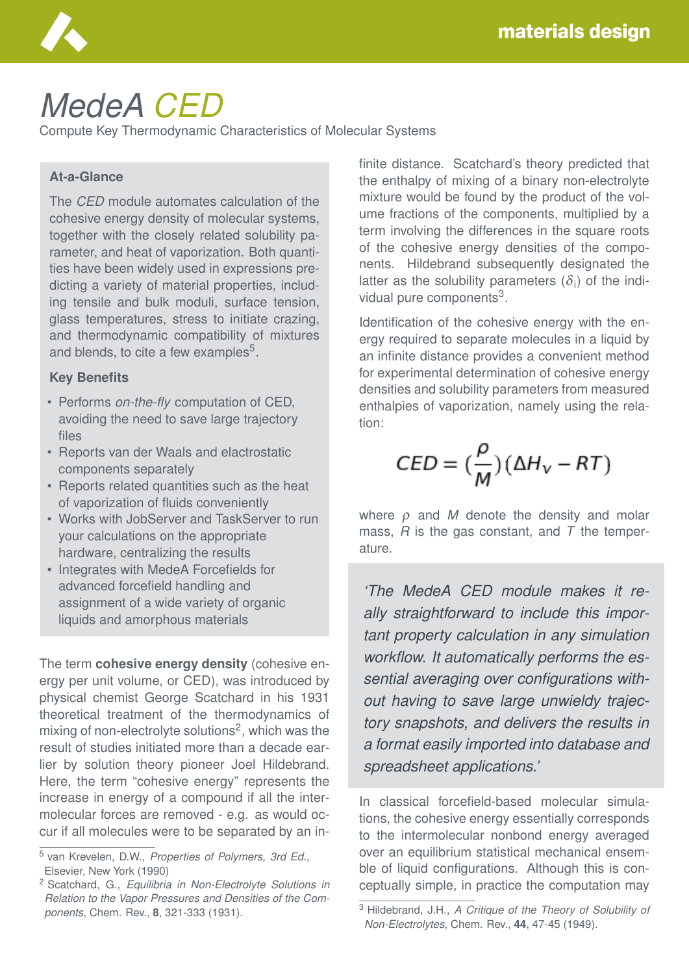

# *MedeA CED*

Compute Key Thermodynamic Characteristics of Molecular Systems

#### **At-a-Glance**

The *CED* module automates calculation of the cohesive energy density of molecular systems, together with the closely related solubility parameter, and heat of vaporization. Both quantities have been widely used in expressions predicting a variety of material properties, including tensile and bulk moduli, surface tension, glass temperatures, stress to initiate crazing, and thermodynamic compatibility of mixtures and blends, to cite a few examples<sup>5</sup>.

#### **Key Benefits**

- Performs *on-the-fly* computation of CED, avoiding the need to save large trajectory files
- Reports van der Waals and elactrostatic components separately
- Reports related quantities such as the heat of vaporization of fluids conveniently
- Works with JobServer and TaskServer to run your calculations on the appropriate hardware, centralizing the results
- Integrates with MedeA Forcefields for advanced forcefield handling and assignment of a wide variety of organic liquids and amorphous materials

The term **cohesive energy density** (cohesive energy per unit volume, or CED), was introduced by physical chemist George Scatchard in his 1931 theoretical treatment of the thermodynamics of mixing of non-electrolyte solutions<sup>2</sup>, which was the result of studies initiated more than a decade earlier by solution theory pioneer Joel Hildebrand. Here, the term "cohesive energy" represents the increase in energy of a compound if all the intermolecular forces are removed - e.g. as would occur if all molecules were to be separated by an infinite distance. Scatchard's theory predicted that the enthalpy of mixing of a binary non-electrolyte mixture would be found by the product of the volume fractions of the components, multiplied by a term involving the differences in the square roots of the cohesive energy densities of the components. Hildebrand subsequently designated the latter as the solubility parameters  $(\delta_i)$  of the individual pure components<sup>3</sup>.

Identification of the cohesive energy with the energy required to separate molecules in a liquid by an infinite distance provides a convenient method for experimental determination of cohesive energy densities and solubility parameters from measured enthalpies of vaporization, namely using the relation:

$$
CED = \left(\frac{\rho}{M}\right)(\Delta H_v - RT)
$$

where ρ and *M* denote the density and molar mass, *R* is the gas constant, and *T* the temperature.

*'The MedeA CED module makes it really straightforward to include this important property calculation in any simulation workflow. It automatically performs the essential averaging over configurations without having to save large unwieldy trajectory snapshots, and delivers the results in a format easily imported into database and spreadsheet applications.'*

In classical forcefield-based molecular simulations, the cohesive energy essentially corresponds to the intermolecular nonbond energy averaged over an equilibrium statistical mechanical ensemble of liquid configurations. Although this is conceptually simple, in practice the computation may

<sup>5</sup> van Krevelen, D.W., *Properties of Polymers, 3rd Ed.*, Elsevier, New York (1990)

<sup>2</sup> Scatchard, G., *Equilibria in Non-Electrolyte Solutions in Relation to the Vapor Pressures and Densities of the Components*, Chem. Rev., **8**, 321-333 (1931).

<sup>3</sup> Hildebrand, J.H., *A Critique of the Theory of Solubility of Non-Electrolytes*, Chem. Rev., **44**, 47-45 (1949).